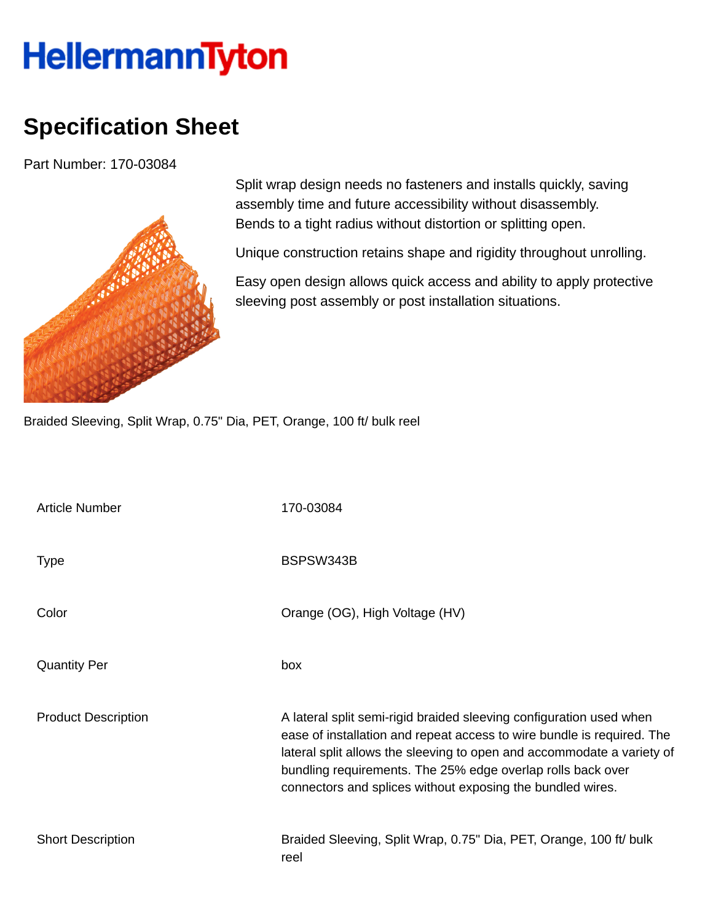## **HellermannTyton**

## **Specification Sheet**

Part Number: 170-03084



Split wrap design needs no fasteners and installs quickly, saving assembly time and future accessibility without disassembly. Bends to a tight radius without distortion or splitting open.

Unique construction retains shape and rigidity throughout unrolling.

Easy open design allows quick access and ability to apply protective sleeving post assembly or post installation situations.

Braided Sleeving, Split Wrap, 0.75" Dia, PET, Orange, 100 ft/ bulk reel

| <b>Article Number</b>      | 170-03084                                                                                                                                                                                                                                                                                                                                            |  |  |  |
|----------------------------|------------------------------------------------------------------------------------------------------------------------------------------------------------------------------------------------------------------------------------------------------------------------------------------------------------------------------------------------------|--|--|--|
| <b>Type</b>                | BSPSW343B                                                                                                                                                                                                                                                                                                                                            |  |  |  |
| Color                      | Orange (OG), High Voltage (HV)                                                                                                                                                                                                                                                                                                                       |  |  |  |
| <b>Quantity Per</b>        | box                                                                                                                                                                                                                                                                                                                                                  |  |  |  |
| <b>Product Description</b> | A lateral split semi-rigid braided sleeving configuration used when<br>ease of installation and repeat access to wire bundle is required. The<br>lateral split allows the sleeving to open and accommodate a variety of<br>bundling requirements. The 25% edge overlap rolls back over<br>connectors and splices without exposing the bundled wires. |  |  |  |
| <b>Short Description</b>   | Braided Sleeving, Split Wrap, 0.75" Dia, PET, Orange, 100 ft/ bulk<br>reel                                                                                                                                                                                                                                                                           |  |  |  |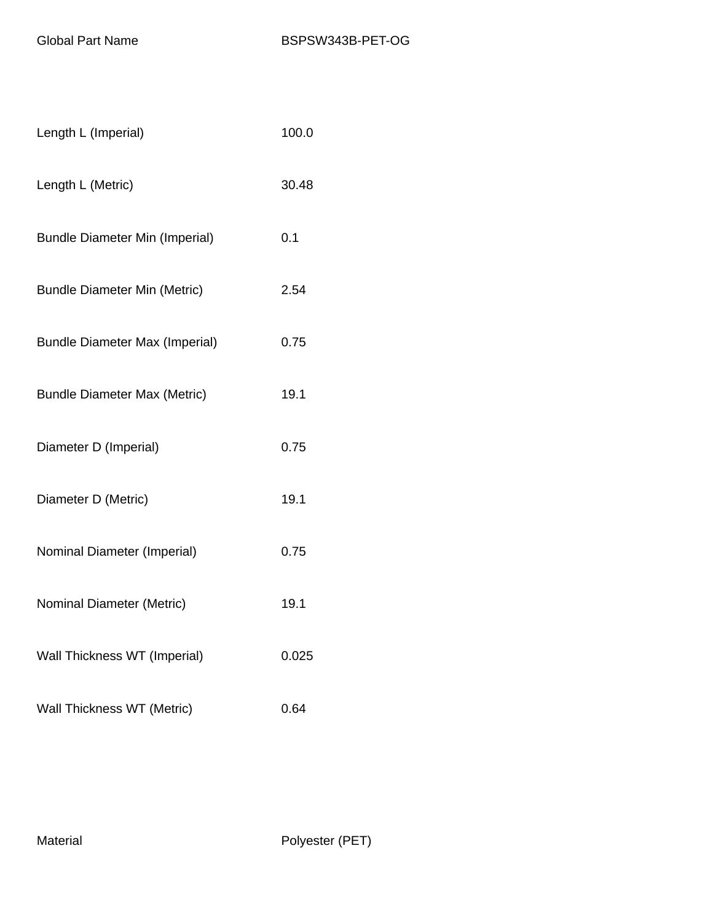| Length L (Imperial)                   | 100.0 |
|---------------------------------------|-------|
| Length L (Metric)                     | 30.48 |
| <b>Bundle Diameter Min (Imperial)</b> | 0.1   |
| <b>Bundle Diameter Min (Metric)</b>   | 2.54  |
| <b>Bundle Diameter Max (Imperial)</b> | 0.75  |
| <b>Bundle Diameter Max (Metric)</b>   | 19.1  |
| Diameter D (Imperial)                 | 0.75  |
| Diameter D (Metric)                   | 19.1  |
| Nominal Diameter (Imperial)           | 0.75  |
| Nominal Diameter (Metric)             | 19.1  |
| Wall Thickness WT (Imperial)          | 0.025 |
| Wall Thickness WT (Metric)            | 0.64  |